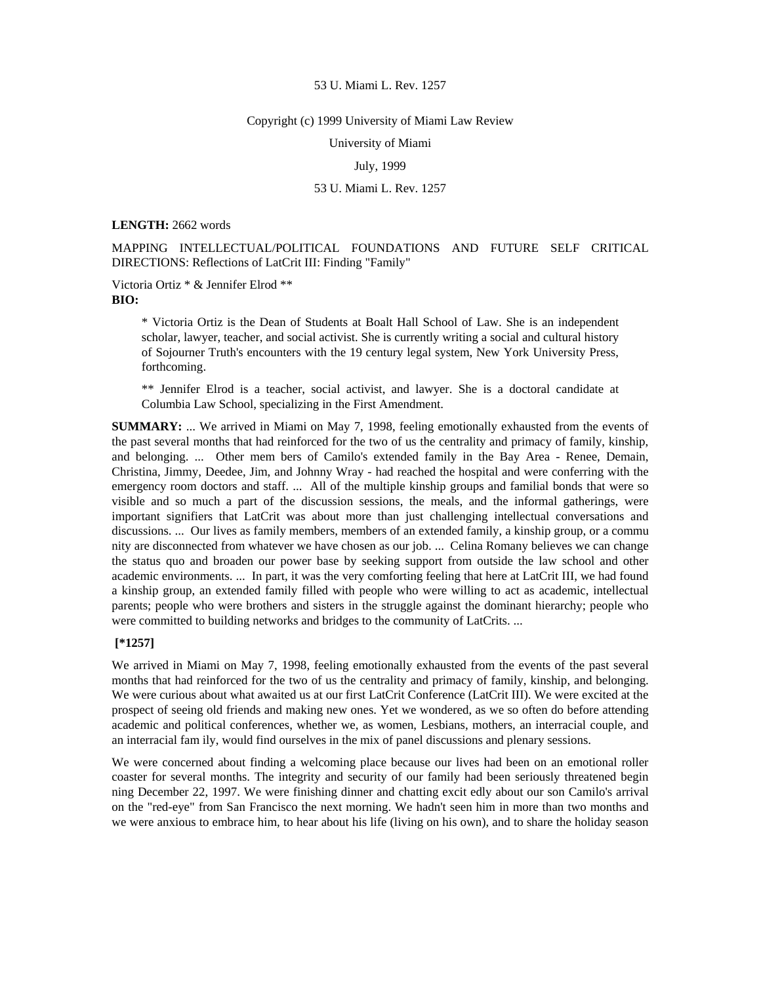#### Copyright (c) 1999 University of Miami Law Review

University of Miami

July, 1999

## 53 U. Miami L. Rev. 1257

**LENGTH:** 2662 words

MAPPING INTELLECTUAL/POLITICAL FOUNDATIONS AND FUTURE SELF CRITICAL DIRECTIONS: Reflections of LatCrit III: Finding "Family"

Victoria Ortiz \* & Jennifer Elrod \*\* **BIO:** 

> \* Victoria Ortiz is the Dean of Students at Boalt Hall School of Law. She is an independent scholar, lawyer, teacher, and social activist. She is currently writing a social and cultural history of Sojourner Truth's encounters with the 19 century legal system, New York University Press, forthcoming.

> \*\* Jennifer Elrod is a teacher, social activist, and lawyer. She is a doctoral candidate at Columbia Law School, specializing in the First Amendment.

**SUMMARY:** ... We arrived in Miami on May 7, 1998, feeling emotionally exhausted from the events of the past several months that had reinforced for the two of us the centrality and primacy of family, kinship, and belonging. ... Other mem bers of Camilo's extended family in the Bay Area - Renee, Demain, Christina, Jimmy, Deedee, Jim, and Johnny Wray - had reached the hospital and were conferring with the emergency room doctors and staff. ... All of the multiple kinship groups and familial bonds that were so visible and so much a part of the discussion sessions, the meals, and the informal gatherings, were important signifiers that LatCrit was about more than just challenging intellectual conversations and discussions. ... Our lives as family members, members of an extended family, a kinship group, or a commu nity are disconnected from whatever we have chosen as our job. ... Celina Romany believes we can change the status quo and broaden our power base by seeking support from outside the law school and other academic environments. ... In part, it was the very comforting feeling that here at LatCrit III, we had found a kinship group, an extended family filled with people who were willing to act as academic, intellectual parents; people who were brothers and sisters in the struggle against the dominant hierarchy; people who were committed to building networks and bridges to the community of LatCrits. ...

# **[\*1257]**

We arrived in Miami on May 7, 1998, feeling emotionally exhausted from the events of the past several months that had reinforced for the two of us the centrality and primacy of family, kinship, and belonging. We were curious about what awaited us at our first LatCrit Conference (LatCrit III). We were excited at the prospect of seeing old friends and making new ones. Yet we wondered, as we so often do before attending academic and political conferences, whether we, as women, Lesbians, mothers, an interracial couple, and an interracial fam ily, would find ourselves in the mix of panel discussions and plenary sessions.

We were concerned about finding a welcoming place because our lives had been on an emotional roller coaster for several months. The integrity and security of our family had been seriously threatened begin ning December 22, 1997. We were finishing dinner and chatting excit edly about our son Camilo's arrival on the "red-eye" from San Francisco the next morning. We hadn't seen him in more than two months and we were anxious to embrace him, to hear about his life (living on his own), and to share the holiday season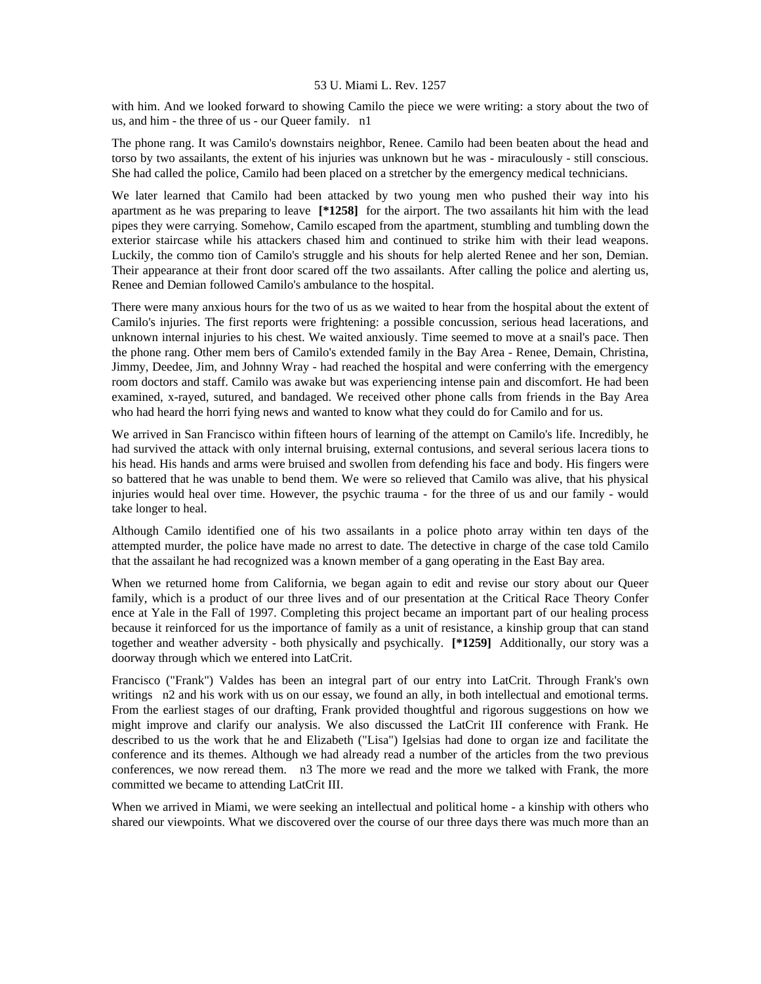with him. And we looked forward to showing Camilo the piece we were writing: a story about the two of us, and him - the three of us - our Queer family. n1

The phone rang. It was Camilo's downstairs neighbor, Renee. Camilo had been beaten about the head and torso by two assailants, the extent of his injuries was unknown but he was - miraculously - still conscious. She had called the police, Camilo had been placed on a stretcher by the emergency medical technicians.

We later learned that Camilo had been attacked by two young men who pushed their way into his apartment as he was preparing to leave **[\*1258]** for the airport. The two assailants hit him with the lead pipes they were carrying. Somehow, Camilo escaped from the apartment, stumbling and tumbling down the exterior staircase while his attackers chased him and continued to strike him with their lead weapons. Luckily, the commo tion of Camilo's struggle and his shouts for help alerted Renee and her son, Demian. Their appearance at their front door scared off the two assailants. After calling the police and alerting us, Renee and Demian followed Camilo's ambulance to the hospital.

There were many anxious hours for the two of us as we waited to hear from the hospital about the extent of Camilo's injuries. The first reports were frightening: a possible concussion, serious head lacerations, and unknown internal injuries to his chest. We waited anxiously. Time seemed to move at a snail's pace. Then the phone rang. Other mem bers of Camilo's extended family in the Bay Area - Renee, Demain, Christina, Jimmy, Deedee, Jim, and Johnny Wray - had reached the hospital and were conferring with the emergency room doctors and staff. Camilo was awake but was experiencing intense pain and discomfort. He had been examined, x-rayed, sutured, and bandaged. We received other phone calls from friends in the Bay Area who had heard the horri fying news and wanted to know what they could do for Camilo and for us.

We arrived in San Francisco within fifteen hours of learning of the attempt on Camilo's life. Incredibly, he had survived the attack with only internal bruising, external contusions, and several serious lacera tions to his head. His hands and arms were bruised and swollen from defending his face and body. His fingers were so battered that he was unable to bend them. We were so relieved that Camilo was alive, that his physical injuries would heal over time. However, the psychic trauma - for the three of us and our family - would take longer to heal.

Although Camilo identified one of his two assailants in a police photo array within ten days of the attempted murder, the police have made no arrest to date. The detective in charge of the case told Camilo that the assailant he had recognized was a known member of a gang operating in the East Bay area.

When we returned home from California, we began again to edit and revise our story about our Queer family, which is a product of our three lives and of our presentation at the Critical Race Theory Confer ence at Yale in the Fall of 1997. Completing this project became an important part of our healing process because it reinforced for us the importance of family as a unit of resistance, a kinship group that can stand together and weather adversity - both physically and psychically. **[\*1259]** Additionally, our story was a doorway through which we entered into LatCrit.

Francisco ("Frank") Valdes has been an integral part of our entry into LatCrit. Through Frank's own writings n2 and his work with us on our essay, we found an ally, in both intellectual and emotional terms. From the earliest stages of our drafting, Frank provided thoughtful and rigorous suggestions on how we might improve and clarify our analysis. We also discussed the LatCrit III conference with Frank. He described to us the work that he and Elizabeth ("Lisa") Igelsias had done to organ ize and facilitate the conference and its themes. Although we had already read a number of the articles from the two previous conferences, we now reread them. n3 The more we read and the more we talked with Frank, the more committed we became to attending LatCrit III.

When we arrived in Miami, we were seeking an intellectual and political home - a kinship with others who shared our viewpoints. What we discovered over the course of our three days there was much more than an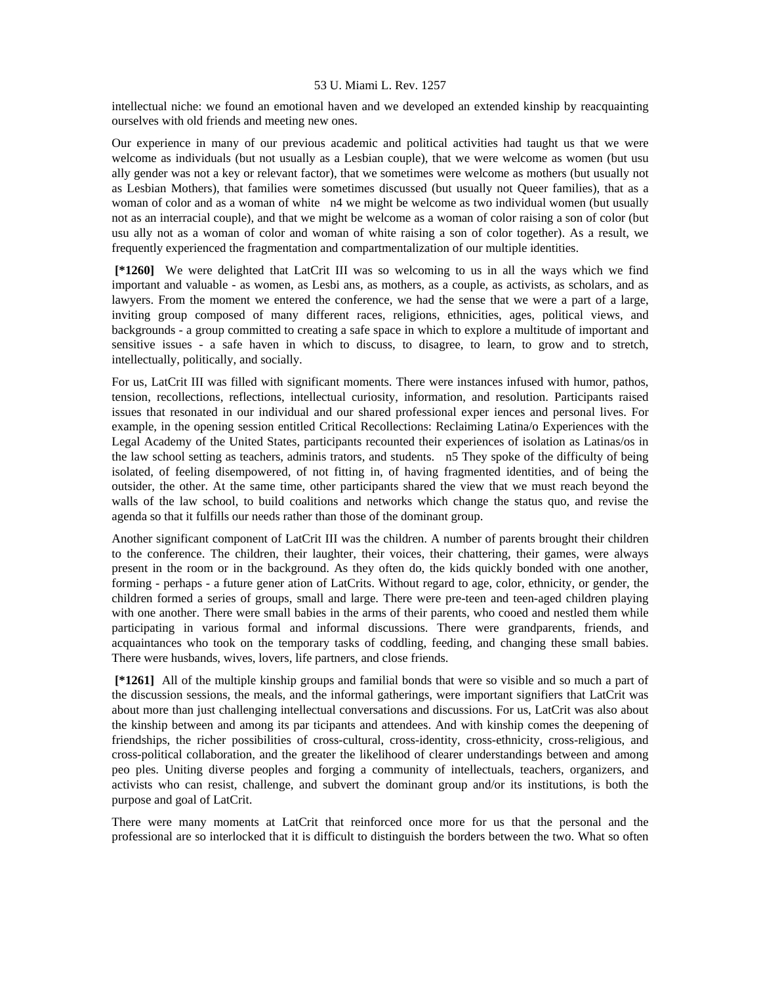intellectual niche: we found an emotional haven and we developed an extended kinship by reacquainting ourselves with old friends and meeting new ones.

Our experience in many of our previous academic and political activities had taught us that we were welcome as individuals (but not usually as a Lesbian couple), that we were welcome as women (but usu ally gender was not a key or relevant factor), that we sometimes were welcome as mothers (but usually not as Lesbian Mothers), that families were sometimes discussed (but usually not Queer families), that as a woman of color and as a woman of white n4 we might be welcome as two individual women (but usually not as an interracial couple), and that we might be welcome as a woman of color raising a son of color (but usu ally not as a woman of color and woman of white raising a son of color together). As a result, we frequently experienced the fragmentation and compartmentalization of our multiple identities.

 **[\*1260]** We were delighted that LatCrit III was so welcoming to us in all the ways which we find important and valuable - as women, as Lesbi ans, as mothers, as a couple, as activists, as scholars, and as lawyers. From the moment we entered the conference, we had the sense that we were a part of a large, inviting group composed of many different races, religions, ethnicities, ages, political views, and backgrounds - a group committed to creating a safe space in which to explore a multitude of important and sensitive issues - a safe haven in which to discuss, to disagree, to learn, to grow and to stretch, intellectually, politically, and socially.

For us, LatCrit III was filled with significant moments. There were instances infused with humor, pathos, tension, recollections, reflections, intellectual curiosity, information, and resolution. Participants raised issues that resonated in our individual and our shared professional exper iences and personal lives. For example, in the opening session entitled Critical Recollections: Reclaiming Latina/o Experiences with the Legal Academy of the United States, participants recounted their experiences of isolation as Latinas/os in the law school setting as teachers, adminis trators, and students. n5 They spoke of the difficulty of being isolated, of feeling disempowered, of not fitting in, of having fragmented identities, and of being the outsider, the other. At the same time, other participants shared the view that we must reach beyond the walls of the law school, to build coalitions and networks which change the status quo, and revise the agenda so that it fulfills our needs rather than those of the dominant group.

Another significant component of LatCrit III was the children. A number of parents brought their children to the conference. The children, their laughter, their voices, their chattering, their games, were always present in the room or in the background. As they often do, the kids quickly bonded with one another, forming - perhaps - a future gener ation of LatCrits. Without regard to age, color, ethnicity, or gender, the children formed a series of groups, small and large. There were pre-teen and teen-aged children playing with one another. There were small babies in the arms of their parents, who cooed and nestled them while participating in various formal and informal discussions. There were grandparents, friends, and acquaintances who took on the temporary tasks of coddling, feeding, and changing these small babies. There were husbands, wives, lovers, life partners, and close friends.

 **[\*1261]** All of the multiple kinship groups and familial bonds that were so visible and so much a part of the discussion sessions, the meals, and the informal gatherings, were important signifiers that LatCrit was about more than just challenging intellectual conversations and discussions. For us, LatCrit was also about the kinship between and among its par ticipants and attendees. And with kinship comes the deepening of friendships, the richer possibilities of cross-cultural, cross-identity, cross-ethnicity, cross-religious, and cross-political collaboration, and the greater the likelihood of clearer understandings between and among peo ples. Uniting diverse peoples and forging a community of intellectuals, teachers, organizers, and activists who can resist, challenge, and subvert the dominant group and/or its institutions, is both the purpose and goal of LatCrit.

There were many moments at LatCrit that reinforced once more for us that the personal and the professional are so interlocked that it is difficult to distinguish the borders between the two. What so often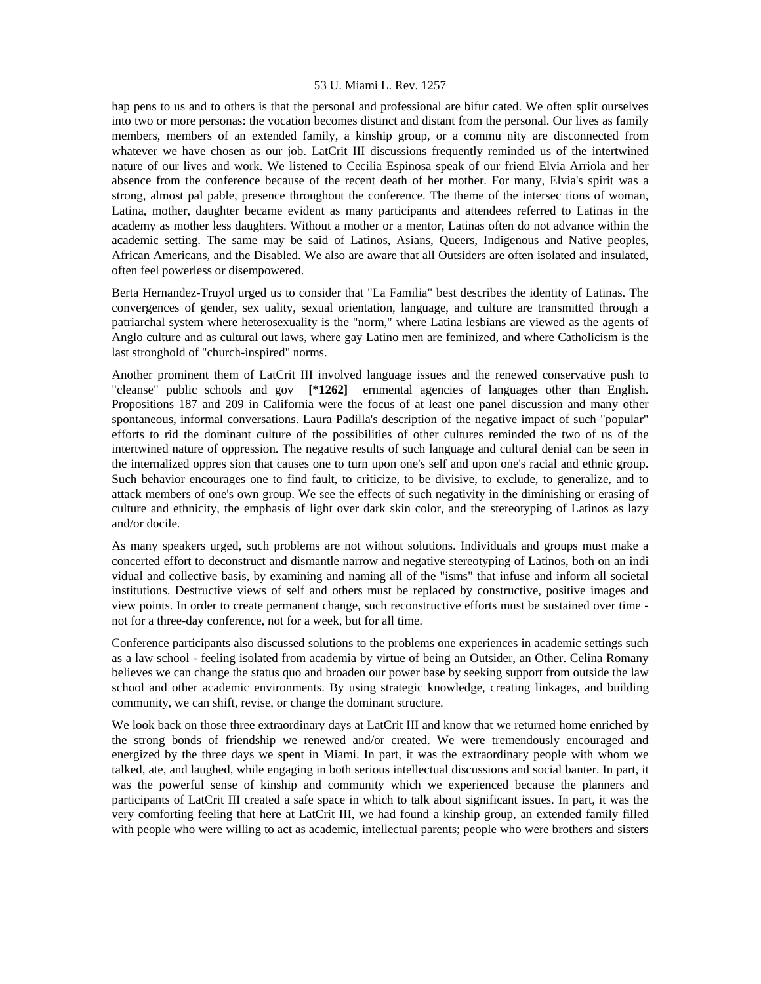hap pens to us and to others is that the personal and professional are bifur cated. We often split ourselves into two or more personas: the vocation becomes distinct and distant from the personal. Our lives as family members, members of an extended family, a kinship group, or a commu nity are disconnected from whatever we have chosen as our job. LatCrit III discussions frequently reminded us of the intertwined nature of our lives and work. We listened to Cecilia Espinosa speak of our friend Elvia Arriola and her absence from the conference because of the recent death of her mother. For many, Elvia's spirit was a strong, almost pal pable, presence throughout the conference. The theme of the intersec tions of woman, Latina, mother, daughter became evident as many participants and attendees referred to Latinas in the academy as mother less daughters. Without a mother or a mentor, Latinas often do not advance within the academic setting. The same may be said of Latinos, Asians, Queers, Indigenous and Native peoples, African Americans, and the Disabled. We also are aware that all Outsiders are often isolated and insulated, often feel powerless or disempowered.

Berta Hernandez-Truyol urged us to consider that "La Familia" best describes the identity of Latinas. The convergences of gender, sex uality, sexual orientation, language, and culture are transmitted through a patriarchal system where heterosexuality is the "norm," where Latina lesbians are viewed as the agents of Anglo culture and as cultural out laws, where gay Latino men are feminized, and where Catholicism is the last stronghold of "church-inspired" norms.

Another prominent them of LatCrit III involved language issues and the renewed conservative push to "cleanse" public schools and gov **[\*1262]** ernmental agencies of languages other than English. Propositions 187 and 209 in California were the focus of at least one panel discussion and many other spontaneous, informal conversations. Laura Padilla's description of the negative impact of such "popular" efforts to rid the dominant culture of the possibilities of other cultures reminded the two of us of the intertwined nature of oppression. The negative results of such language and cultural denial can be seen in the internalized oppres sion that causes one to turn upon one's self and upon one's racial and ethnic group. Such behavior encourages one to find fault, to criticize, to be divisive, to exclude, to generalize, and to attack members of one's own group. We see the effects of such negativity in the diminishing or erasing of culture and ethnicity, the emphasis of light over dark skin color, and the stereotyping of Latinos as lazy and/or docile.

As many speakers urged, such problems are not without solutions. Individuals and groups must make a concerted effort to deconstruct and dismantle narrow and negative stereotyping of Latinos, both on an indi vidual and collective basis, by examining and naming all of the "isms" that infuse and inform all societal institutions. Destructive views of self and others must be replaced by constructive, positive images and view points. In order to create permanent change, such reconstructive efforts must be sustained over time not for a three-day conference, not for a week, but for all time.

Conference participants also discussed solutions to the problems one experiences in academic settings such as a law school - feeling isolated from academia by virtue of being an Outsider, an Other. Celina Romany believes we can change the status quo and broaden our power base by seeking support from outside the law school and other academic environments. By using strategic knowledge, creating linkages, and building community, we can shift, revise, or change the dominant structure.

We look back on those three extraordinary days at LatCrit III and know that we returned home enriched by the strong bonds of friendship we renewed and/or created. We were tremendously encouraged and energized by the three days we spent in Miami. In part, it was the extraordinary people with whom we talked, ate, and laughed, while engaging in both serious intellectual discussions and social banter. In part, it was the powerful sense of kinship and community which we experienced because the planners and participants of LatCrit III created a safe space in which to talk about significant issues. In part, it was the very comforting feeling that here at LatCrit III, we had found a kinship group, an extended family filled with people who were willing to act as academic, intellectual parents; people who were brothers and sisters